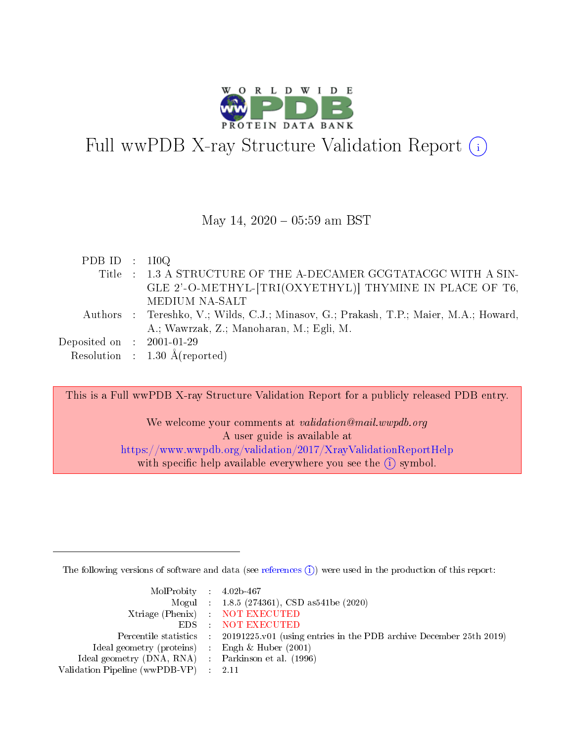

# Full wwPDB X-ray Structure Validation Report (i)

#### May 14,  $2020 - 05:59$  am BST

| PDB ID : $110Q$             |                                                                                       |
|-----------------------------|---------------------------------------------------------------------------------------|
|                             | Title : 1.3 A STRUCTURE OF THE A-DECAMER GCGTATACGC WITH A SIN-                       |
|                             | GLE 2'-O-METHYL-[TRI(OXYETHYL)] THYMINE IN PLACE OF T6,                               |
|                             | MEDIUM NA-SALT                                                                        |
|                             | Authors : Tereshko, V.; Wilds, C.J.; Minasov, G.; Prakash, T.P.; Maier, M.A.; Howard, |
|                             | A.; Wawrzak, Z.; Manoharan, M.; Egli, M.                                              |
| Deposited on : $2001-01-29$ |                                                                                       |
|                             | Resolution : $1.30 \text{ Å}$ (reported)                                              |

This is a Full wwPDB X-ray Structure Validation Report for a publicly released PDB entry.

We welcome your comments at validation@mail.wwpdb.org A user guide is available at <https://www.wwpdb.org/validation/2017/XrayValidationReportHelp> with specific help available everywhere you see the  $(i)$  symbol.

The following versions of software and data (see [references](https://www.wwpdb.org/validation/2017/XrayValidationReportHelp#references)  $(i)$ ) were used in the production of this report:

| $MolProbability$ 4.02b-467                          |                                                                                            |
|-----------------------------------------------------|--------------------------------------------------------------------------------------------|
|                                                     | Mogul : $1.8.5$ (274361), CSD as 541be (2020)                                              |
|                                                     | Xtriage (Phenix) NOT EXECUTED                                                              |
|                                                     | EDS NOT EXECUTED                                                                           |
|                                                     | Percentile statistics : 20191225.v01 (using entries in the PDB archive December 25th 2019) |
| Ideal geometry (proteins) : Engh $\&$ Huber (2001)  |                                                                                            |
| Ideal geometry (DNA, RNA) : Parkinson et al. (1996) |                                                                                            |
| Validation Pipeline (wwPDB-VP) : 2.11               |                                                                                            |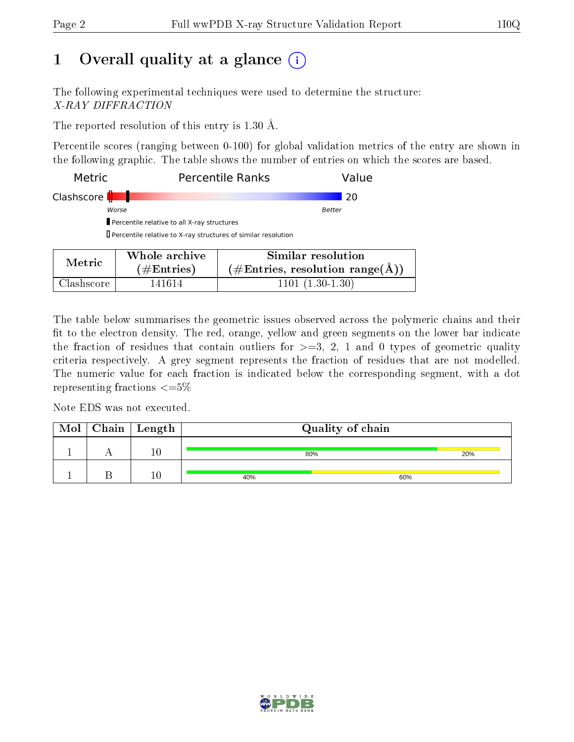## 1 [O](https://www.wwpdb.org/validation/2017/XrayValidationReportHelp#overall_quality)verall quality at a glance  $(i)$

The following experimental techniques were used to determine the structure: X-RAY DIFFRACTION

The reported resolution of this entry is 1.30 Å.

Percentile scores (ranging between 0-100) for global validation metrics of the entry are shown in the following graphic. The table shows the number of entries on which the scores are based.

| <b>Metric</b>             |                                                                      | <b>Percentile Ranks</b> | Value |
|---------------------------|----------------------------------------------------------------------|-------------------------|-------|
| Clashscore <b>       </b> |                                                                      |                         | -20   |
|                           | Worse                                                                | Better                  |       |
|                           | Percentile relative to all X-ray structures                          |                         |       |
|                           | $\Box$ Percentile relative to X-ray structures of similar resolution |                         |       |
|                           |                                                                      |                         |       |
| $M \sim$ $\sim$           | Whole archive                                                        | Similar resolution      |       |

| <b>Metric</b> | Whole archive | Similar resolution                 |  |  |
|---------------|---------------|------------------------------------|--|--|
|               | $(\#Entries)$ | $(\#Entries, resolution range(A))$ |  |  |
| Clashscore    | 141614        | $1101 (1.30-1.30)$                 |  |  |

The table below summarises the geometric issues observed across the polymeric chains and their fit to the electron density. The red, orange, yellow and green segments on the lower bar indicate the fraction of residues that contain outliers for  $\geq =3$ , 2, 1 and 0 types of geometric quality criteria respectively. A grey segment represents the fraction of residues that are not modelled. The numeric value for each fraction is indicated below the corresponding segment, with a dot representing fractions  $\leq=5\%$ 

Note EDS was not executed.

| Mol | $\vert$ Chain $\vert$ Length | Quality of chain |     |
|-----|------------------------------|------------------|-----|
|     | $10\,$                       | 80%              | 20% |
|     |                              | 40%              | 60% |

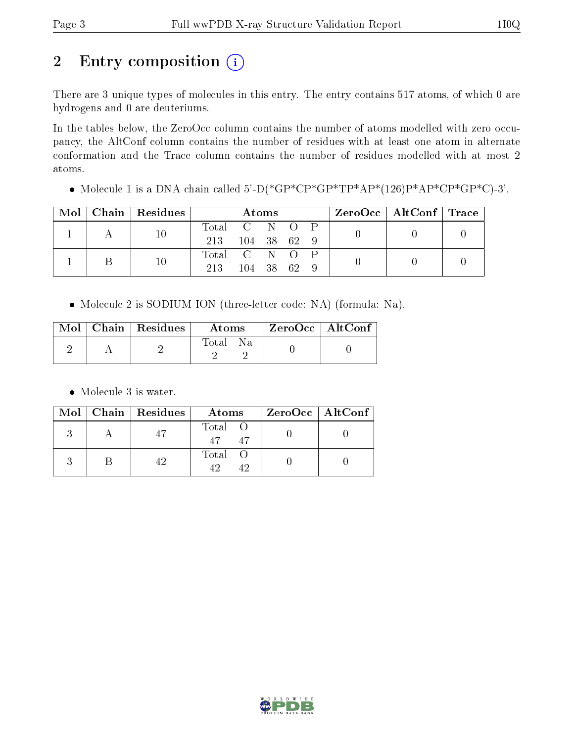# 2 Entry composition (i)

There are 3 unique types of molecules in this entry. The entry contains 517 atoms, of which 0 are hydrogens and 0 are deuteriums.

In the tables below, the ZeroOcc column contains the number of atoms modelled with zero occupancy, the AltConf column contains the number of residues with at least one atom in alternate conformation and the Trace column contains the number of residues modelled with at most 2 atoms.

• Molecule 1 is a DNA chain called 5'-D(\*GP\*CP\*GP\*TP\*AP\*(126)P\*AP\*CP\*GP\*C)-3'.

|  | $Mol$   Chain   Residues | <b>Atoms</b>    |           |  |  |  | ZeroOcc   AltConf   Trace |  |
|--|--------------------------|-----------------|-----------|--|--|--|---------------------------|--|
|  | 10                       | Total C N O P   |           |  |  |  |                           |  |
|  |                          | 213 104 38 62 9 |           |  |  |  |                           |  |
|  | 10                       | Total C N O P   |           |  |  |  |                           |  |
|  |                          | 213             | 104 38 62 |  |  |  |                           |  |

• Molecule 2 is SODIUM ION (three-letter code: NA) (formula: Na).

|  | $\text{Mol}$   Chain   Residues | Atoms         | $\,$ ZeroOcc   AltConf |  |
|--|---------------------------------|---------------|------------------------|--|
|  |                                 | Total<br>- Na |                        |  |

• Molecule 3 is water.

|  | Mol   Chain   Residues | Atoms                            | ZeroOcc   AltConf |
|--|------------------------|----------------------------------|-------------------|
|  |                        | Total O<br>47 <sup>7</sup><br>47 |                   |
|  |                        | Total O                          |                   |

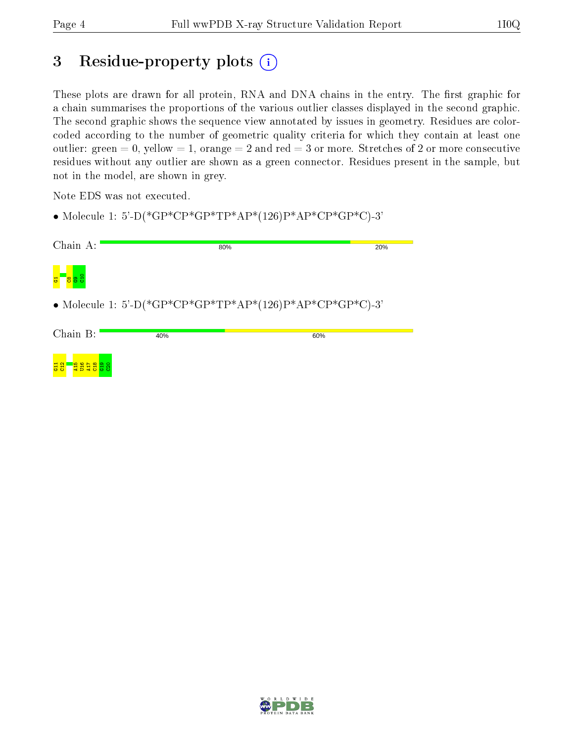## 3 Residue-property plots (i)

These plots are drawn for all protein, RNA and DNA chains in the entry. The first graphic for a chain summarises the proportions of the various outlier classes displayed in the second graphic. The second graphic shows the sequence view annotated by issues in geometry. Residues are colorcoded according to the number of geometric quality criteria for which they contain at least one outlier: green  $= 0$ , yellow  $= 1$ , orange  $= 2$  and red  $= 3$  or more. Stretches of 2 or more consecutive residues without any outlier are shown as a green connector. Residues present in the sample, but not in the model, are shown in grey.

Note EDS was not executed.

• Molecule 1: 5'-D(\*GP\*CP\*GP\*TP\*AP\*(126)P\*AP\*CP\*GP\*C)-3'

| Chain A:                  |     | 80%                                                      | 20% |
|---------------------------|-----|----------------------------------------------------------|-----|
| <b>g</b> 3                |     |                                                          |     |
|                           |     | • Molecule 1: 5'-D(*GP*CP*GP*TP*AP*(126)P*AP*CP*GP*C)-3' |     |
| Chain B:                  | 40% | 60%                                                      |     |
| $\frac{11}{11}$<br>ξ<br>Ĕ |     |                                                          |     |

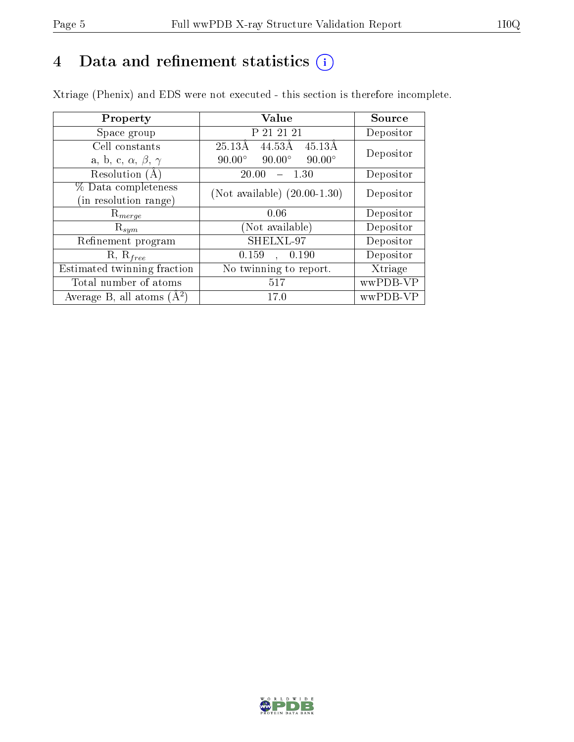## 4 Data and refinement statistics  $(i)$

Xtriage (Phenix) and EDS were not executed - this section is therefore incomplete.

| Property                               | Value                                            | Source    |  |
|----------------------------------------|--------------------------------------------------|-----------|--|
| Space group                            | P 21 21 21                                       | Depositor |  |
| Cell constants                         | 44.53Å<br>$45.13\text{\AA}$<br>$25.13\text{\AA}$ | Depositor |  |
| a, b, c, $\alpha$ , $\beta$ , $\gamma$ | $90.00^\circ$<br>$90.00^\circ$<br>$90.00^\circ$  |           |  |
| Resolution (A)                         | 20.00<br>1.30                                    | Depositor |  |
| % Data completeness                    | (Not available) $(20.00-1.30)$                   | Depositor |  |
| in resolution range)                   |                                                  |           |  |
| $\mathrm{R}_{merge}$                   | 0.06                                             | Depositor |  |
| $\mathrm{R}_{sym}$                     | (Not available)                                  | Depositor |  |
| Refinement program                     | SHELXL-97                                        | Depositor |  |
| $R, R_{free}$                          | 0.159<br>, 0.190                                 | Depositor |  |
| Estimated twinning fraction            | No twinning to report.                           | Xtriage   |  |
| Total number of atoms                  | 517                                              | wwPDB-VP  |  |
| Average B, all atoms $(A^2)$           | 17.0                                             | wwPDB-VP  |  |

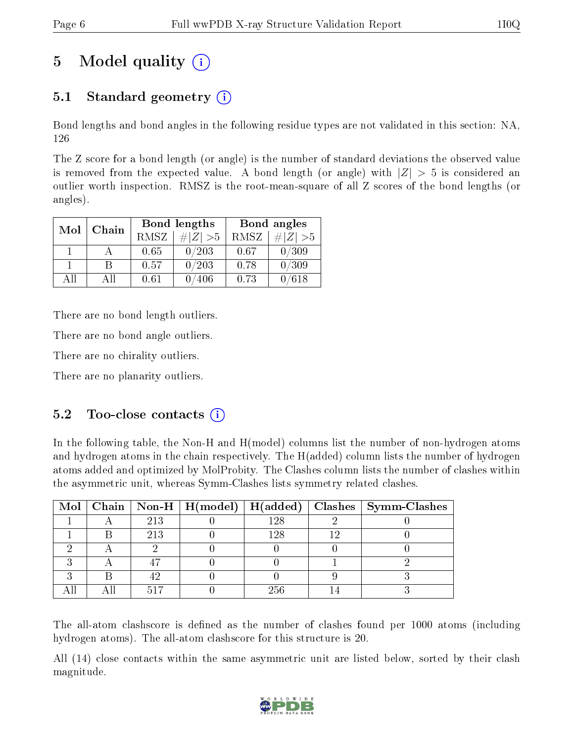# 5 Model quality  $(i)$

## 5.1 Standard geometry  $(i)$

Bond lengths and bond angles in the following residue types are not validated in this section: NA, 126

The Z score for a bond length (or angle) is the number of standard deviations the observed value is removed from the expected value. A bond length (or angle) with  $|Z| > 5$  is considered an outlier worth inspection. RMSZ is the root-mean-square of all Z scores of the bond lengths (or angles).

| Mol | Chain |      | Bond lengths | Bond angles |                     |  |
|-----|-------|------|--------------|-------------|---------------------|--|
|     |       | RMSZ | $\# Z  > 5$  | RMSZ        | $\Vert Z \Vert > 5$ |  |
|     |       | 0.65 | 0/203        | 0.67        | 0/309               |  |
|     |       | 0.57 | 0/203        | 0.78        | 0/309               |  |
| ΔH  | A 11  | 0.61 | 406          | 0.73        | 618                 |  |

There are no bond length outliers.

There are no bond angle outliers.

There are no chirality outliers.

There are no planarity outliers.

## $5.2$  Too-close contacts  $(i)$

In the following table, the Non-H and H(model) columns list the number of non-hydrogen atoms and hydrogen atoms in the chain respectively. The H(added) column lists the number of hydrogen atoms added and optimized by MolProbity. The Clashes column lists the number of clashes within the asymmetric unit, whereas Symm-Clashes lists symmetry related clashes.

|  |     |      | Mol   Chain   Non-H   H(model)   H(added)   Clashes   Symm-Clashes |
|--|-----|------|--------------------------------------------------------------------|
|  | 213 | 128  |                                                                    |
|  | 213 | l 28 |                                                                    |
|  |     |      |                                                                    |
|  |     |      |                                                                    |
|  |     |      |                                                                    |
|  |     | 256  |                                                                    |

The all-atom clashscore is defined as the number of clashes found per 1000 atoms (including hydrogen atoms). The all-atom clashscore for this structure is 20.

All (14) close contacts within the same asymmetric unit are listed below, sorted by their clash magnitude.

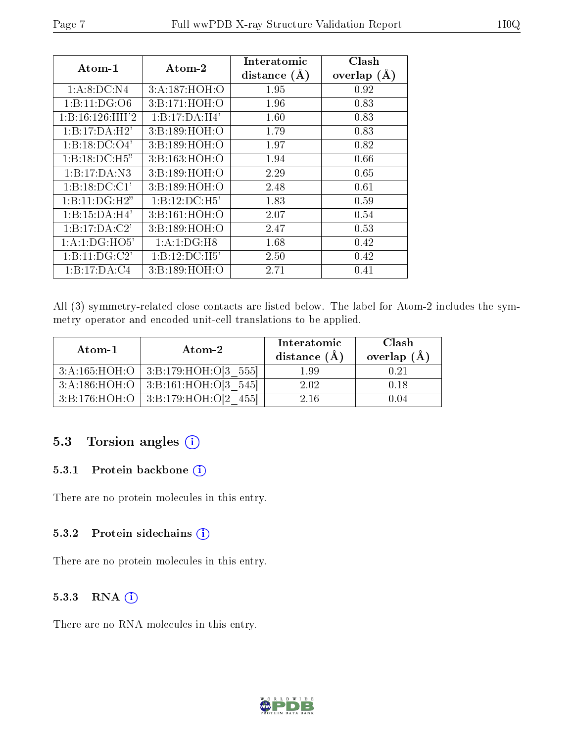| $\rm{Atom\text{-}1}$       | $\boldsymbol{\mathrm{Atom}\text{-}2}$ | Interatomic      | Clash         |
|----------------------------|---------------------------------------|------------------|---------------|
|                            |                                       | distance $(\AA)$ | overlap $(A)$ |
| 1: A:8:DC:NA               | 3:A:187:HOH:O                         | 1.95             | 0.92          |
| 1:B:11:DG:O6               | 3:B:171:HOH:O                         | 1.96             | 0.83          |
| 1:B:16:126:HH'2            | 1:B:17:DA:H4'                         | 1.60             | 0.83          |
| 1:B:17:DA:H2'              | 3:B:189:HOH:O                         | 1.79             | 0.83          |
| 1:B:18:DC:O4'              | 3:B:189:HOH:O                         | 1.97             | 0.82          |
| $1:B:18:DC:\overline{H5"}$ | 3:B:163:HOH:O                         | 1.94             | 0.66          |
| 1:B:17:DA:N3               | 3:B:189:HOH:O                         | 2.29             | 0.65          |
| 1:B:18:DC:CI'              | 3:B:189:HOH:O                         | 2.48             | 0.61          |
| 1:B:11:DG:H2"              | 1:B:12:DC:H5'                         | 1.83             | 0.59          |
| 1:B:15:DA:H4'              | 3:B:161:HOH:O                         | 2.07             | 0.54          |
| 1:B:17:DA:C2'              | 3:B:189:HOH:O                         | 2.47             | 0.53          |
| 1:A:1:DG:HO5'              | 1:A:1:DG:H8                           | 1.68             | 0.42          |
| 1:B:11:DG:C2               | 1:B:12:DC:H5'                         | 2.50             | 0.42          |
| 1:B:17:DA:C4               | 3:B:189:HOH:O                         | 2.71             | 0.41          |

All (3) symmetry-related close contacts are listed below. The label for Atom-2 includes the symmetry operator and encoded unit-cell translations to be applied.

| Atom-1 | $\boldsymbol{\mathrm{Atom}\text{-}2}$    | Interatomic<br>distance $(\AA)$ | Clash<br>overlap $(\AA)$ |  |
|--------|------------------------------------------|---------------------------------|--------------------------|--|
|        | $3:A:165:HOH:O$   $3:B:179:HOH:O[3 555]$ | 1.99                            | 0.21                     |  |
|        | 3:A:186:HOH:O   3:B:161:HOH:O[3 545]     | 2.02                            | 0.18                     |  |
|        | $3:B:176:HOH:O$ 3:B:179:HOH:O[2 455]     | 2 16                            | 104                      |  |

## 5.3 Torsion angles (i)

### 5.3.1 Protein backbone (i)

There are no protein molecules in this entry.

#### 5.3.2 Protein sidechains (i)

There are no protein molecules in this entry.

### 5.3.3 RNA (1)

There are no RNA molecules in this entry.

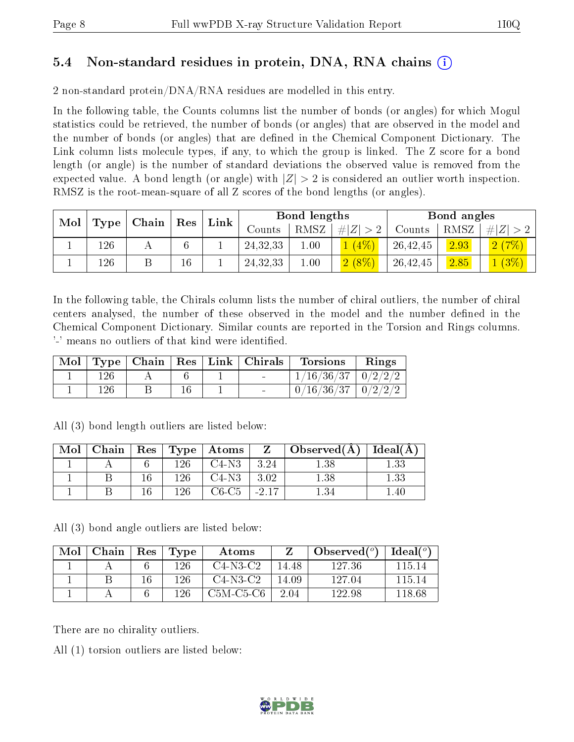## 5.4 Non-standard residues in protein, DNA, RNA chains (i)

2 non-standard protein/DNA/RNA residues are modelled in this entry.

In the following table, the Counts columns list the number of bonds (or angles) for which Mogul statistics could be retrieved, the number of bonds (or angles) that are observed in the model and the number of bonds (or angles) that are dened in the Chemical Component Dictionary. The Link column lists molecule types, if any, to which the group is linked. The Z score for a bond length (or angle) is the number of standard deviations the observed value is removed from the expected value. A bond length (or angle) with  $|Z| > 2$  is considered an outlier worth inspection. RMSZ is the root-mean-square of all Z scores of the bond lengths (or angles).

| Mol |      | $\mid$ Chain $\mid$ Res $\mid$ | Link |  | Bond lengths |      |             |          | Bond angles |           |  |
|-----|------|--------------------------------|------|--|--------------|------|-------------|----------|-------------|-----------|--|
|     | Type |                                |      |  | Counts       | RMSZ | # $ Z  > 2$ | Counts   | RMSZ        | $\# Z >2$ |  |
|     | 126  |                                | 6    |  | 24, 32, 33   | 00.1 | $1(4\%)$    | 26,42,45 | 2.93        | 2(7%)     |  |
|     | 126  |                                | 16   |  | 24, 32, 33   | 00.1 | $2(8\%)$    | 26,42,45 | 2.85        | $(3\%)$   |  |

In the following table, the Chirals column lists the number of chiral outliers, the number of chiral centers analysed, the number of these observed in the model and the number defined in the Chemical Component Dictionary. Similar counts are reported in the Torsion and Rings columns. '-' means no outliers of that kind were identified.

| Mol |     |  | Type   Chain   Res   Link   Christmas | <b>Torsions</b>          | Rings |
|-----|-----|--|---------------------------------------|--------------------------|-------|
|     | 126 |  |                                       | $1/16/36/37$   $0/2/2/2$ |       |
|     | 126 |  |                                       | $0/16/36/37$   $0/2/2/2$ |       |

| Mol | Chain | $\vert$ Res $\vert$ |     | $\mid$ Type $\mid$ Atoms |      | $\pm$ Observed(Å) $\pm$ | $\vert$ Ideal( $\rm \AA$ ) |
|-----|-------|---------------------|-----|--------------------------|------|-------------------------|----------------------------|
|     |       |                     | 196 | $C4-N3$                  | 3.24 |                         | । २२                       |
|     |       |                     | 126 | $C4-N3$                  | 3.02 |                         | $1.33\,$                   |
|     |       |                     | 196 | C6-C5                    |      |                         | .40                        |

All (3) bond length outliers are listed below:

All (3) bond angle outliers are listed below:

| Mol | Chain | Res | Type | Atoms       |       | Observed $(°)$ | Ideal( $^o$ ) |
|-----|-------|-----|------|-------------|-------|----------------|---------------|
|     |       |     | 126  | $C4-N3-C2$  | 14.48 | 127.36         | 115 14        |
|     |       |     | 126  | $C4-N3-C2$  | 14.09 | 127.04         | 115 14        |
|     |       |     | 126  | $C5M-C5-C6$ | 2.04  | 122.98         | 118.68        |

There are no chirality outliers.

All (1) torsion outliers are listed below:

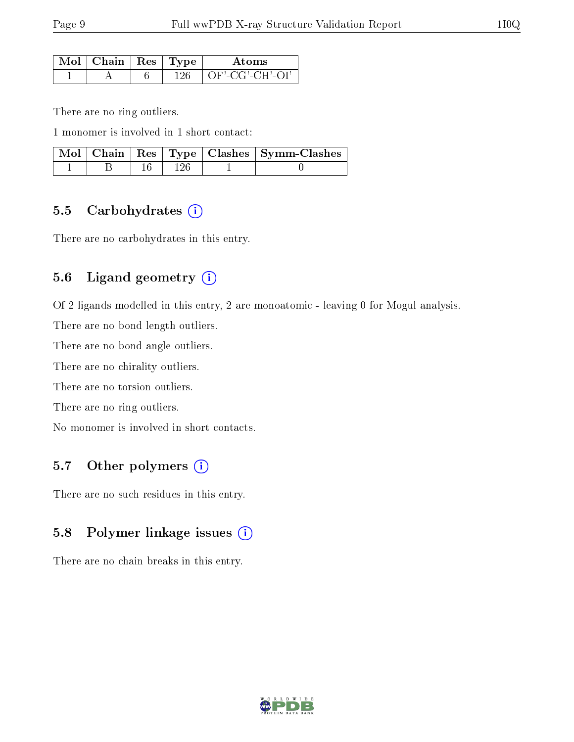| $\sim$ Mol $\parallel$ Chain $\parallel$ Res $\parallel$ Type $^+$ |      | Atome          |
|--------------------------------------------------------------------|------|----------------|
|                                                                    | 196. | OF'-CG'-CH'-OL |

There are no ring outliers.

1 monomer is involved in 1 short contact:

|  |  | Mol   Chain   Res   Type   Clashes   Symm-Clashes |
|--|--|---------------------------------------------------|
|  |  |                                                   |

### 5.5 Carbohydrates (i)

There are no carbohydrates in this entry.

### 5.6 Ligand geometry (i)

Of 2 ligands modelled in this entry, 2 are monoatomic - leaving 0 for Mogul analysis.

There are no bond length outliers.

There are no bond angle outliers.

There are no chirality outliers.

There are no torsion outliers.

There are no ring outliers.

No monomer is involved in short contacts.

## 5.7 [O](https://www.wwpdb.org/validation/2017/XrayValidationReportHelp#nonstandard_residues_and_ligands)ther polymers  $(i)$

There are no such residues in this entry.

### 5.8 Polymer linkage issues (i)

There are no chain breaks in this entry.